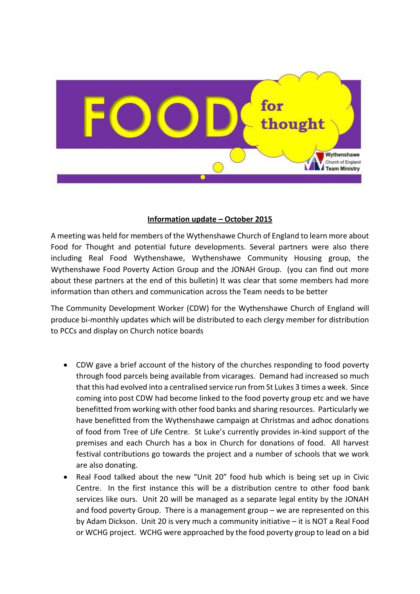

## **Information update – October 2015**

A meeting was held for members of the Wythenshawe Church of England to learn more about Food for Thought and potential future developments. Several partners were also there including Real Food Wythenshawe, Wythenshawe Community Housing group, the Wythenshawe Food Poverty Action Group and the JONAH Group. (you can find out more about these partners at the end of this bulletin) It was clear that some members had more information than others and communication across the Team needs to be better

The Community Development Worker (CDW) for the Wythenshawe Church of England will produce bi-monthly updates which will be distributed to each clergy member for distribution to PCCs and display on Church notice boards

- CDW gave a brief account of the history of the churches responding to food poverty through food parcels being available from vicarages. Demand had increased so much that this had evolved into a centralised service run from St Lukes 3 times a week. Since coming into post CDW had become linked to the food poverty group etc and we have benefitted from working with other food banks and sharing resources. Particularly we have benefitted from the Wythenshawe campaign at Christmas and adhoc donations of food from Tree of Life Centre. St Luke's currently provides in-kind support of the premises and each Church has a box in Church for donations of food. All harvest festival contributions go towards the project and a number of schools that we work are also donating.
- Real Food talked about the new "Unit 20" food hub which is being set up in Civic Centre. In the first instance this will be a distribution centre to other food bank services like ours. Unit 20 will be managed as a separate legal entity by the JONAH and food poverty Group. There is a management group – we are represented on this by Adam Dickson. Unit 20 is very much a community initiative – it is NOT a Real Food or WCHG project. WCHG were approached by the food poverty group to lead on a bid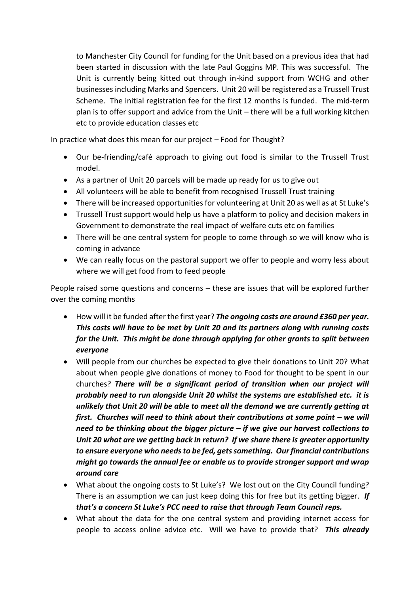to Manchester City Council for funding for the Unit based on a previous idea that had been started in discussion with the late Paul Goggins MP. This was successful. The Unit is currently being kitted out through in-kind support from WCHG and other businesses including Marks and Spencers. Unit 20 will be registered as a Trussell Trust Scheme. The initial registration fee for the first 12 months is funded. The mid-term plan is to offer support and advice from the Unit – there will be a full working kitchen etc to provide education classes etc

In practice what does this mean for our project – Food for Thought?

- Our be-friending/café approach to giving out food is similar to the Trussell Trust model.
- As a partner of Unit 20 parcels will be made up ready for us to give out
- All volunteers will be able to benefit from recognised Trussell Trust training
- There will be increased opportunities for volunteering at Unit 20 as well as at St Luke's
- Trussell Trust support would help us have a platform to policy and decision makers in Government to demonstrate the real impact of welfare cuts etc on families
- There will be one central system for people to come through so we will know who is coming in advance
- We can really focus on the pastoral support we offer to people and worry less about where we will get food from to feed people

People raised some questions and concerns – these are issues that will be explored further over the coming months

- How will it be funded after the first year? *The ongoing costs are around £360 per year. This costs will have to be met by Unit 20 and its partners along with running costs for the Unit. This might be done through applying for other grants to split between everyone*
- Will people from our churches be expected to give their donations to Unit 20? What about when people give donations of money to Food for thought to be spent in our churches? *There will be a significant period of transition when our project will probably need to run alongside Unit 20 whilst the systems are established etc. it is unlikely that Unit 20 will be able to meet all the demand we are currently getting at first. Churches will need to think about their contributions at some point – we will need to be thinking about the bigger picture – if we give our harvest collections to Unit 20 what are we getting back in return? If we share there is greater opportunity to ensure everyone who needs to be fed, gets something. Our financial contributions might go towards the annual fee or enable us to provide stronger support and wrap around care*
- What about the ongoing costs to St Luke's? We lost out on the City Council funding? There is an assumption we can just keep doing this for free but its getting bigger. *If that's a concern St Luke's PCC need to raise that through Team Council reps.*
- What about the data for the one central system and providing internet access for people to access online advice etc. Will we have to provide that? *This already*